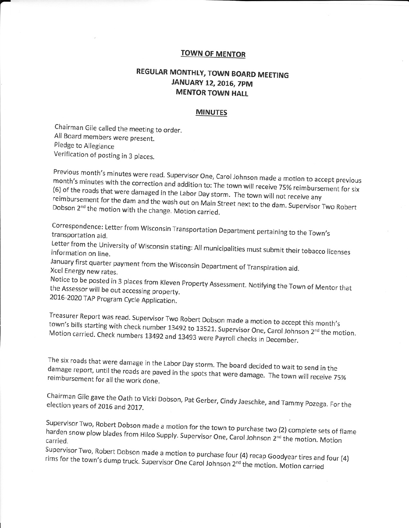## **TOWN OF MENTOR**

## REGULAR MONTHLY, TOWN BOARD MEETING JANUARY 12, 2016, 7PM **MENTOR TOWN HALL**

## **MINUTES**

Chairman Gile called the meeting to order. All Board members were present. Pledge to Allegiance Verification of posting in 3 places.

Previous month's minutes were read. Supervisor One, Carol Johnson made a motion to accept previous month's minutes with the correction and addition to: The town will receive 75% reimbursement for six (6) of the roads that were damaged in the Labor Day storm. The town will not receive any reimbursement for the dam and the wash out on Main Street next to the dam. Supervisor Two Robert Dobson 2<sup>nd</sup> the motion with the change. Motion carried.

Correspondence: Letter from Wisconsin Transportation Department pertaining to the Town's transportation aid.

Letter from the University of Wisconsin stating: All municipalities must submit their tobacco licenses information on line.

January first quarter payment from the Wisconsin Department of Transpiration aid. Xcel Energy new rates.

Notice to be posted in 3 places from Kleven Property Assessment. Notifying the Town of Mentor that the Assessor will be out accessing property. 2016-2020 TAP Program Cycle Application.

Treasurer Report was read. Supervisor Two Robert Dobson made a motion to accept this month's town's bills starting with check number 13492 to 13521. Supervisor One, Carol Johnson 2<sup>nd</sup> the motion. Motion carried. Check numbers 13492 and 13493 were Payroll checks in December.

The six roads that were damage in the Labor Day storm. The board decided to wait to send in the damage report, until the roads are paved in the spots that were damage. The town will receive 75% reimbursement for all the work done.

Chairman Gile gave the Oath to Vicki Dobson, Pat Gerber, Cindy Jaeschke, and Tammy Pozega. For the election years of 2016 and 2017.

Supervisor Two, Robert Dobson made a motion for the town to purchase two (2) complete sets of flame harden snow plow blades from Hilco Supply. Supervisor One, Carol Johnson 2<sup>nd</sup> the motion. Motion

Supervisor Two, Robert Dobson made a motion to purchase four (4) recap Goodyear tires and four (4) rims for the town's dump truck. Supervisor One Carol Johnson 2<sup>nd</sup> the motion. Motion carried